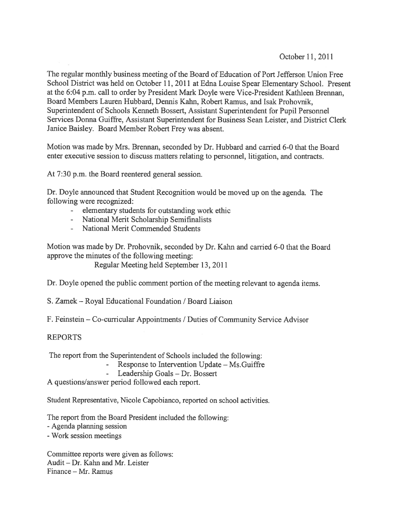October 11,2011

The regular monthly business meeting of the Board of Education of Port Jefferson Union Free School District was held on October 11, 2011 at Edna Louise Spear Elementary School. Present at the 6:04 p.m. call to order by President Mark Doyle were Vice-President Kathleen Brennan, Board Members Lauren Hubbard, Dennis Kahn, Robert Ramus, and Isak Prohovnik, Superintendent of Schools Kenneth Bossert, Assistant Superintendent for Pupil Personnel Services Donna Guiffre, Assistant Superintendent for Business Sean Leister, and District Clerk Janice Baisley. Board Member Robert Frey was absent.

Motion was made by Mrs. Brennan, seconded by Dr. Hubbard and carried 6-0 that the Board enter executive session to discuss matters relating to personnel, litigation, and contracts.

At 7:30 p.m. the Board reentered general session.

Dr. Doyle announced that Student Recognition would be moved up on the agenda. The following were recognized:

- elementary students for outstanding work ethic
- National Merit Scholarship Semifinalists
- National Merit Commended Students

Motion was made by Dr. Prohovnik, seconded by Dr. Kahn and carried 6-0 that the Board approve the minutes of the following meeting:

Regular Meeting held September 13, 2011

Dr. Doyle opened the public comment portion of the meeting relevant to agenda items.

S. Zamek — Royal Educational Foundation / Board Liaison

F. Feinstein — Co-curricular Appointments / Duties of Community Service Advisor

#### REPORTS

The repor<sup>t</sup> from the Superintendent of Schools included the following:

- Response to Intervention Update Ms.Guiffre
	- Leadership Goals Dr. Bossert

A questions/answer period followed each report.

Student Representative, Nicole Capobianco, reported on school activities.

The repor<sup>t</sup> from the Board President included the following:

-Agenda planning session

-Work session meetings

Committee reports were given as follows: Audit — Dr. Kahn and Mr. Leister Finance — Mr. Ramus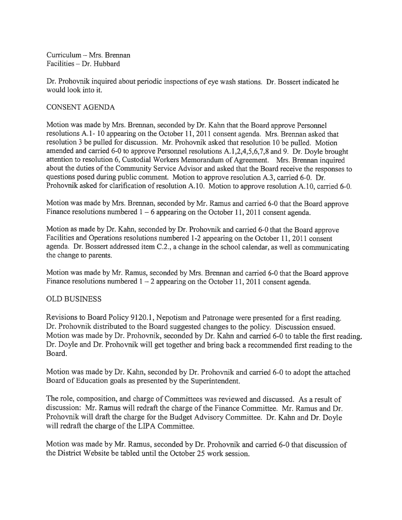Curriculum — Mrs. Brennan Facilities — Dr. Hubbard

Dr. Prohovnik inquired about periodic inspections of eye wash stations. Dr. Bossert indicated he would look into it.

### CONSENT AGENDA

Motion was made by Mrs. Brennan, seconded by Dr. Kahn that the Board approve Personnel resolutions A.l- <sup>10</sup> appearing on the October 11, <sup>2011</sup> consent agenda. Mrs. Brennan asked that resolution <sup>3</sup> be pulled for discussion. Mr. Prohovnik asked that resolution <sup>10</sup> be pulled. Motion amended and carried 6-0 to approve Personnel resolutions A. 1,2,4,5,6,7,8 and 9. Dr. Doyle brought attention to resolution 6, Custodial Workers Memorandum of Agreement. Mrs. Brennan inquired about the duties of the Community Service Advisor and asked that the Board receive the responses to questions posed during public comment. Motion to approve resolution A.3, carried 6-0. Dr. Prohovnik asked for clarification of resolution A.10. Motion to approve resolution A.10, carried 6-0.

Motion was made by Mrs. Brennan, seconded by Mr. Ramus and carried 6-0 that the Board approve Finance resolutions numbered 1 – 6 appearing on the October 11, 2011 consent agenda.

Motion as made by Dr. Kahn, seconded by Dr. Prohovnik and carried 6-0 that the Board approve Facilities and Operations resolutions numbered 1-2 appearing on the October 11, 2011 consent agenda. Dr. Bossert addressed item C.2., <sup>a</sup> change in the school calendar, as well as communicating the change to parents.

Motion was made by Mr. Ramus, seconded by Mrs. Brennan and carried 6-0 that the Board approve Finance resolutions numbered  $1 - 2$  appearing on the October 11, 2011 consent agenda.

#### OLD BUSINESS

Revisions to Board Policy 9120.1, Nepotism and Patronage were presented for <sup>a</sup> first reading. Dr. Prohovnik distributed to the Board suggested changes to the policy. Discussion ensued. Motion was made by Dr. Prohovnik, seconded by Dr. Kahn and carried 6-0 to table the first reading. Dr. Doyle and Dr. Prohovnik will ge<sup>t</sup> together and bring back <sup>a</sup> recommended first reading to the Board.

Motion was made by Dr. Kahn, seconded by Dr. Prohovnik and carried 6-0 to adopt the attached Board of Education goals as presented by the Superintendent.

The role, composition, and charge of Committees was reviewed and discussed. As <sup>a</sup> result of discussion: Mr. Ramus will redraft the charge of the Finance Committee. Mr. Ramus and Dr. Prohovnik will draft the charge for the Budget Advisory Committee. Dr. Kahn and Dr. Doyle will redraft the charge of the LIPA Committee.

Motion was made by Mr. Ramus, seconded by Dr. Prohovnik and carried 6-0 that discussion of the District Website be tabled until the October 25 work session.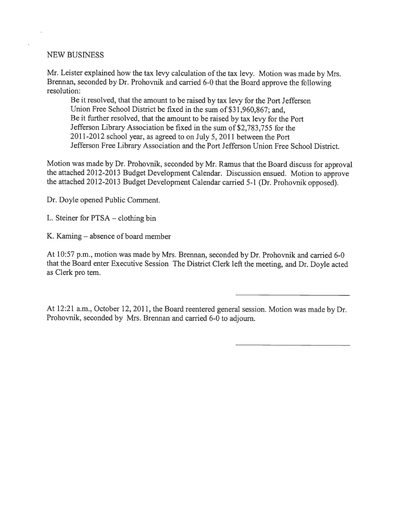#### NEW BUSINESS

Mr. Leister explained how the tax levy calculation of the tax levy. Motion was made by Mrs. Brennan, seconded by Dr. Prohovnik and carried 6-0 that the Board approve the following resolution:

Be it resolved, that the amount to be raised by tax levy for the Port Jefferson Union Free School District be fixed in the sum of \$3 1,960,867; and, Be it further resolved, that the amount to be raised by tax levy for the Port Jefferson Library Association be fixed in the sum of S2,783,755 for the 2011-2012 school year, as agreed to on July 5, 2011 between the Port Jefferson Free Library Association and the Port Jefferson Union Free School District.

Motion was made by Dr. Prohovnik, seconded by Mr. Ramus that the Board discuss for approva<sup>l</sup> the attached 2012-2013 Budget Development Calendar. Discussion ensued. Motion to approve the attached 2012-2013 Budget Development Calendar carried 5-1 (Dr. Prohovnik opposed).

Dr. Doyle opened Public Comment.

L. Steiner for PTSA — clothing bin

K. Kaming — absence of board member

At 10:57 p.m., motion was made by Mrs. Brennan, seconded by Dr. Prohovnik and carried 6-0 that the Board enter Executive Session The District Clerk left the meeting, and Dr. Doyle acted as Clerk pro tem.

At 12:21 a.m., October 12, 2011, the Board reentered general session. Motion was made by Dr. Prohovnik, seconded by Mrs. Brennan and carried 6-0 to adjourn.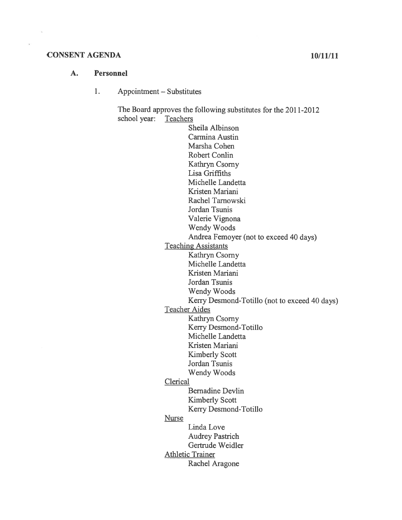#### CONSENT AGENDA 10/11/11

#### A. Personnel

#### $1.$ Appointment — Substitutes

The Board approves the following substitutes for the 2011-2012 school year: Teachers

Sheila Albinson Carmina Austin Marsha Cohen Robert Conlin Kathryn Csorny Lisa Griffiths Michelle Landetta Kristen Mariani Rachel Tarnowski Jordan Tsunis Valerie Vignona Wendy Woods Andrea Femoyer (not to exceed 40 days) Teaching Assistants Kathryn Csorny Michelle Landetta Kristen Mariani Jordan Tsunis Wendy Woods Kerry Desmond-Totillo (not to exceed 40 days) Teacher Aides Kathryn Csorny Kerry Desmond-Totillo Michelle Landetta Kristen Mariani Kimberly Scott Jordan Tsunis Wendy Woods Clerical Bernadine Devlin Kimberly Scott Kerry Desmond-Totillo Nurse Linda Love Audrey Pastrich Gertrude Weidler Athletic Trainer Rachel Aragone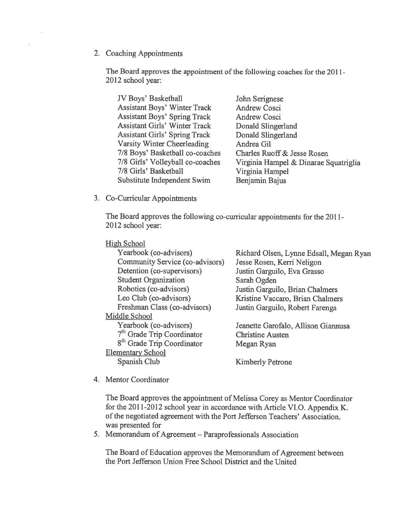2. Coaching Appointments

The Board approves the appointment of the following coaches for the 2011-2012 school year:

JV Boys' Basketball John Serignese Assistant Boys' Winter Track Andrew Cosci Assistant Boys' Spring Track Andrew Cosci Assistant Girls' Winter Track Donald Slingerland Assistant Girls' Spring Track Donald Slingerland Varsity Winter Cheerleading Andrea Gil 7/8 Boys' Basketball co-coaches Charles Ruoff& Jesse Rosen 7/8 Girls' Basketball Virginia Hampel Substitute Independent Swim Benjamin Bajus

7/8 Girls' Volleyball co-coaches Virginia Hampel & Dinarae Squatriglia

3. Co-Curricular Appointments

The Board approves the following co-curricular appointments for the 2011- 2012 school year:

High School

| Yearbook (co-advisors)                 | Richard Olsen, Lynne Edsall, Megan Ryan |
|----------------------------------------|-----------------------------------------|
| Community Service (co-advisors)        | Jesse Rosen, Kerri Neligon              |
| Detention (co-supervisors)             | Justin Garguilo, Eva Grasso             |
| <b>Student Organization</b>            | Sarah Ogden                             |
| Robotics (co-advisors)                 | Justin Garguilo, Brian Chalmers         |
| Leo Club (co-advisors)                 | Kristine Vaccaro, Brian Chalmers        |
| Freshman Class (co-advisors)           | Justin Garguilo, Robert Farenga         |
| Middle School                          |                                         |
| Yearbook (co-advisors)                 | Jeanette Garofalo, Allison Giannusa     |
| 7 <sup>th</sup> Grade Trip Coordinator | <b>Christine Austen</b>                 |
| 8 <sup>th</sup> Grade Trip Coordinator | Megan Ryan                              |
| <b>Elementary School</b>               |                                         |
| Spanish Club                           | <b>Kimberly Petrone</b>                 |
|                                        |                                         |

4. Mentor Coordinator

The Board approves the appointment of Melissa Corey as Mentor Coordinator for the 2011-2012 school year in accordance with Article VI.O. Appendix K. of the negotiated agreement with the Port Jefferson Teachers' Association. was presented for

5. Memorandum of Agreement — Paraprofessionals Association

The Board of Education approves the Memorandum of Agreement between the Port Jefferson Union Free School District and the United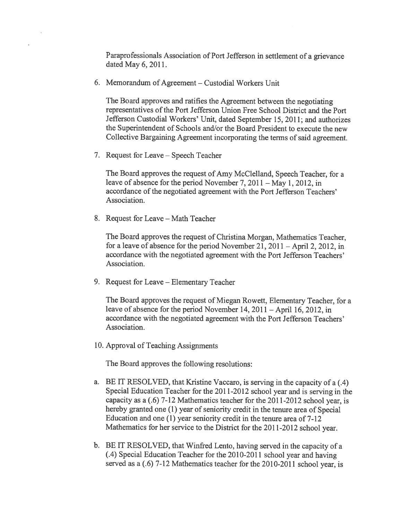Paraprofessionals Association of Port Jefferson in settlement of <sup>a</sup> grievance dated May 6, 2011.

6. Memorandum of Agreement — Custodial Workers Unit

The Board approves and ratifies the Agreement between the negotiating representatives of the Port Jefferson Union Free School District and the Port Jefferson Custodial Workers' Unit, dated September 15, 2011; and authorizes the Superintendent of Schools and/or the Board President to execute the new Collective Bargaining Agreement incorporating the terms of said agreement.

7. Request for Leave — Speech Teacher

The Board approves the reques<sup>t</sup> of Amy McClelland, Speech Teacher, for <sup>a</sup> leave of absence for the period November 7, <sup>2011</sup> — May 1, 2012, in accordance of the negotiated agreemen<sup>t</sup> with the Port Jefferson Teachers' Association.

8. Request for Leave — Math Teacher

The Board approves the reques<sup>t</sup> of Christina Morgan, Mathematics Teacher, for <sup>a</sup> leave of absence for the period November 21, <sup>2011</sup> — April 2, 2012, in accordance with the negotiated agreemen<sup>t</sup> with the Port Jefferson Teachers' Association.

9. Request for Leave — Elementary Teacher

The Board approves the reques<sup>t</sup> of Miegan Rowett, Elementary Teacher, for <sup>a</sup> leave of absence for the period November 14, <sup>2011</sup> — April 16, 2012, in accordance with the negotiated agreemen<sup>t</sup> with the Port Jefferson Teachers' Association.

10. Approval of Teaching Assignments

The Board approves the following resolutions:

- a. BE IT RESOLVED, that Kristine Vaccaro, is serving in the capacity of <sup>a</sup> (.4) Special Education Teacher for the 2011-2012 school year and is serving in the capacity as <sup>a</sup> (.6) 7-12 Mathematics teacher for the 2011-2012 school year, is hereby granted one (1) year of seniority credit in the tenure area of Special Education and one (1) year seniority credit in the tenure area of 7-12 Mathematics for her service to the District for the 2011-2012 school year.
- b. BE IT RESOLVED, that Winfred Lento, having served in the capacity of <sup>a</sup> (.4) Special Education Teacher for the 2010-2011 school year and having served as <sup>a</sup> (.6) 7-12 Mathematics teacher for the 2010-2011 school year, is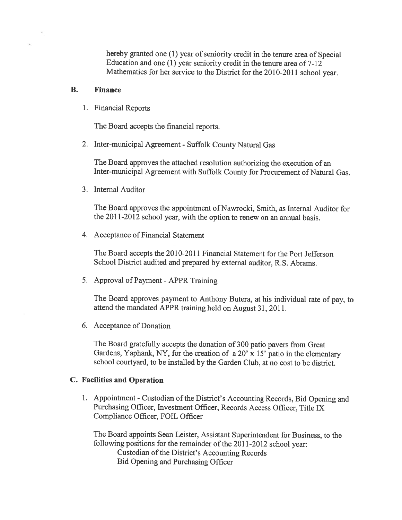hereby granted one (1) year of seniority credit in the tenure area of Special Education and one (1) year seniority credit in the tenure area of 7-12 Mathematics for her service to the District for the 2010-2011 school year.

#### B. Finance

1. Financial Reports

The Board accepts the financial reports.

2. Inter-municipal Agreement - Suffolk County Natural Gas

The Board approves the attached resolution authorizing the execution of an Inter-municipal Agreement with Suffolk County for Procurement of Natural Gas.

3. Internal Auditor

The Board approves the appointment of Nawrocki, Smith, as Internal Auditor for the 2011-2012 school year, with the option to renew on an annual basis.

4. Acceptance of Financial Statement

The Board accepts the 2010-2011 Financial Statement for the Port Jefferson School District audited and prepare<sup>d</sup> by external auditor, R.S. Abrams.

5. Approval of Payment -APPR Training

The Board approves paymen<sup>t</sup> to Anthony Butera, at his individual rate of pay, to attend the mandated APPR training held on August 31, 2011.

6. Acceptance of Donation

The Board gratefully accepts the donation of <sup>300</sup> patio payers from Great Gardens, Yaphank, NY, for the creation of a 20'  $\hat{x}$  15' patio in the elementary school courtyard, to be installed by the Garden Club, at no cost to be district.

#### C. Facilities and Operation

1. Appointment -Custodian of the District's Accounting Records, Bid Opening and Purchasing Officer, Investment Officer, Records Access Officer, Title IX Compliance Officer, FOIL Officer

The Board appoints Sean Leister, Assistant Superintendent for Business, to the following positions for the remainder of the 2011-2012 school year: Custodian of the District's Accounting Records Bid Opening and Purchasing Officer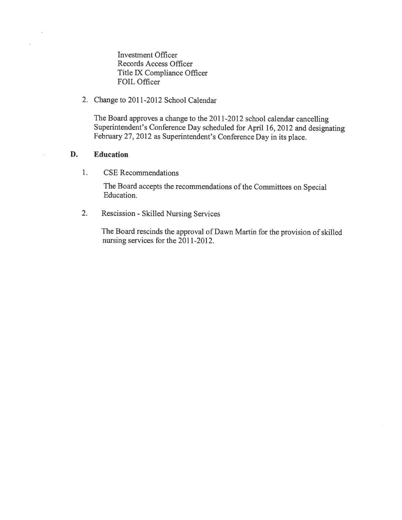Investment Officer Records Access Officer Title IX Compliance Officer FOIL Officer

2. Change to 2011-2012 School Calendar

The Board approves <sup>a</sup> change to the 2011-2012 school calendar cancelling Superintendent's Conference Day scheduled for April 16, <sup>2012</sup> and designating February 27, <sup>2012</sup> as Superintendent's Conference Day in its <sup>p</sup>lace.

#### D. Education

1. CSE Recommendations

The Board accepts the recommendations of the Committees on Special Education.

2. Rescission - Skilled Nursing Services

The Board rescinds the approva<sup>l</sup> of Dawn Martin for the provision of skilled nursing services for the 2011-2012.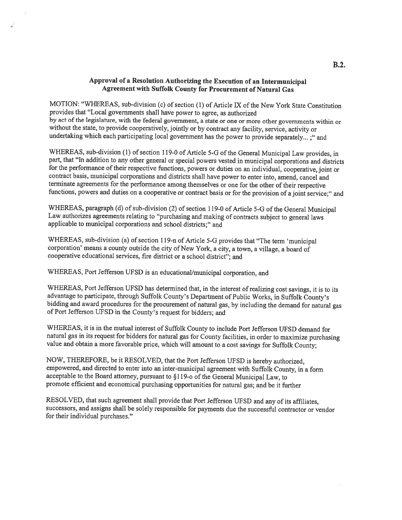#### Approval of <sup>a</sup> Resolution Authorizing the Execution of an Intermunicipal Agreement with Suffolk County for Procurement of Natural Gas

MOTION: "WHEREAS, sub-division (c) of section (1) of Article IX of the New York State Constitution provides that "Local governments shall have power to agree, as authorized by act of the legislature, with the federal government, <sup>a</sup> state or one or more other governments within or without the state, to provide cooperatively, jointly or by contract any facility, service, activity or undertaking which each participating local government has the power to provide separately... ;" and

WHEREAS, sub-division (1) of section 119-0 of Article 5-G of the General Municipal Law provides, in part, that "In addition to any other general or special powers vested in municipal corporations and districts for the performance of their respective functions, powers or duties on an individual, cooperative, joint or contract basis, municipal corporations and districts shall have power to enter into, amend, cancel and terminate agreements for the performance among themselves or one for the other of their respective functions, powers and duties on <sup>a</sup> cooperative or contract basis or for the provision of <sup>a</sup> joint service;" and

WHEREAS, paragraph (d) of sub-division (2) of section 119-0 of Article 5-G of the General Municipal Law authorizes agreements relating to "purchasing and making of contracts subject to general laws applicable to municipal corporations and school districts;" and

WHEREAS, sub-division (a) of section 119-n of Article 5-G provides that "The term 'municipal corporation' means <sup>a</sup> county outside the city of New York, <sup>a</sup> city, <sup>a</sup> town, <sup>a</sup> village, <sup>a</sup> board of cooperative educational services, fire district or <sup>a</sup> school district"; and

WHEREAS, Port Jefferson UFSD is an educational/municipal corporation, and

WHEREAS, Port Jefferson UFSD has determined that, in the interest of realizing cost savings, it is to its advantage to participate, through Suffolk County's Department of Public Works, in Suffolk County's bidding and award procedures for the procurement of natural gas, by including the demand for natural gas of Port Jefferson UFSD in the County's request for bidders; and

WHEREAS, it is in the mutual interest of Suffolk County to include Port Jefferson UFSD demand for natural gas in its request for bidders for natural gas for County facilities, in order to maximize purchasing value and obtain a more favorable price, which will amount to a cost savings for Suffolk County;

NOW, THEREFORE, be it RESOLVED, that the Port Jefferson UFSD is hereby authorized, empowered, and directed to enter into an inter-municipal agreement with Suffolk County, in <sup>a</sup> form acceptable to the Board attorney, pursuant to §119-o of the General Municipal Law, to promote efficient and economical purchasing opportunities for natural gas; and be it further

RESOLVED, that such agreement shall provide that Port Jefferson UFSD and any of its affiliates, successors, and assigns shall be solely responsible for payments due the successful contractor or vendor for their individual purchases."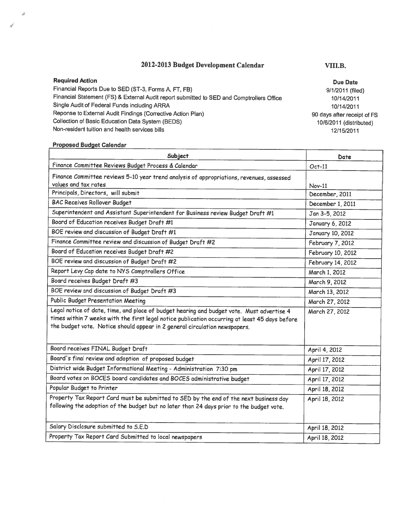#### 2012-2013 Budget Development Calendar VIII.B.

Required Action Financial Reports Due to SED (ST-3, Forms A, FT, FB) Financial Statement (FS) & External Audit report submitted to SED and Comptrollers Office Single Audit of Federal Funds including ARRA Reponse to External Audit Findings (Corrective Action Plan) Collection of Basic Education Data System (BEDS) Non-resident tuition and health services bills

# **Proposed Budget Calendar**

a

| Subject                                                                                                                                                                                                                                                                   | Date                    |
|---------------------------------------------------------------------------------------------------------------------------------------------------------------------------------------------------------------------------------------------------------------------------|-------------------------|
| Finance Committee Reviews Budget Process & Calendar                                                                                                                                                                                                                       | $Oct-11$                |
| Finance Committee reviews 5-10 year trend analysis of appropriations, revenues, assessed<br>values and tax rates                                                                                                                                                          | $Nov-11$                |
| Principals, Directors, will submit                                                                                                                                                                                                                                        | December, 2011          |
| <b>BAC Receives Rollover Budget</b>                                                                                                                                                                                                                                       | December 1, 2011        |
| Superintendent and Assistant Superintendent for Business review Budget Draft #1                                                                                                                                                                                           | Jan 3-5, 2012           |
| Board of Education receives Budget Draft #1                                                                                                                                                                                                                               | January 6, 2012         |
| BOE review and discussion of Budget Draft #1                                                                                                                                                                                                                              | <b>January 10, 2012</b> |
| Finance Committee review and discussion of Budget Draft #2                                                                                                                                                                                                                | February 7, 2012        |
| Board of Education receives Budget Draft #2                                                                                                                                                                                                                               | February 10, 2012       |
| BOE review and discussion of Budget Draft #2                                                                                                                                                                                                                              | February 14, 2012       |
| Report Levy Cap date to NYS Comptrollers Office                                                                                                                                                                                                                           | March 1, 2012           |
| Board receives Budget Draft #3                                                                                                                                                                                                                                            | March 9, 2012           |
| BOE review and discussion of Budget Draft #3                                                                                                                                                                                                                              | March 13, 2012          |
| Public Budget Presentation Meeting                                                                                                                                                                                                                                        | March 27, 2012          |
| Legal notice of date, time, and place of budget hearing and budget vote. Must advertise 4<br>times within 7 weeks with the first legal notice publication occurring at least 45 days before<br>the budget vote. Notice should appear in 2 general circulation newspapers. | March 27, 2012          |
| Board receives FINAL Budget Draft                                                                                                                                                                                                                                         | April 4, 2012           |
| Board's final review and adoption of proposed budget                                                                                                                                                                                                                      | April 17, 2012          |
| District wide Budget Informational Meeting - Administration 7:30 pm                                                                                                                                                                                                       | April 17, 2012          |
| Board votes on BOCES board candidates and BOCES administrative budget                                                                                                                                                                                                     | April 17, 2012          |
| Popular Budget to Printer                                                                                                                                                                                                                                                 | April 18, 2012          |
| Property Tax Report Card must be submitted to SED by the end of the next business day<br>following the adoption of the budget but no later than 24 days prior to the budget vote.                                                                                         | April 18, 2012          |
| Salary Disclosure submitted to S.E.D                                                                                                                                                                                                                                      | April 18, 2012          |
| Property Tax Report Card Submitted to local newspapers                                                                                                                                                                                                                    | April 18, 2012          |

Due Date 9/1/2011 (filed) 10/14/2011 10/14/2011 90 days after receipt of FS 10/6/2011 (distributed) 12/15/2011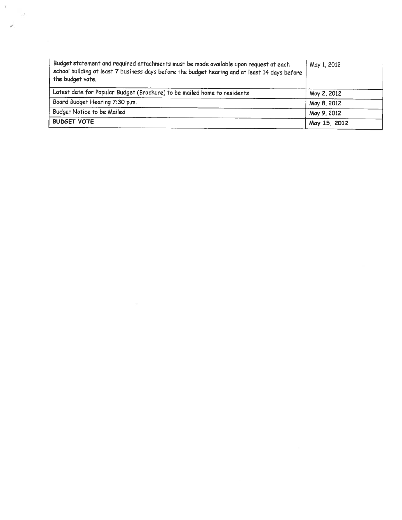| Budget statement and required attachments must be made available upon request at each<br>school building at least 7 business days before the budget hearing and at least 14 days before<br>the budget vote. | May 1, 2012  |
|-------------------------------------------------------------------------------------------------------------------------------------------------------------------------------------------------------------|--------------|
| Latest date for Popular Budget (Brochure) to be mailed home to residents                                                                                                                                    | May 2, 2012  |
| Board Budget Hearing 7:30 p.m.                                                                                                                                                                              | May 8, 2012  |
| Budget Notice to be Mailed                                                                                                                                                                                  | May 9, 2012  |
| <b>BUDGET VOTE</b>                                                                                                                                                                                          | May 15, 2012 |

 $\mathcal{O}^{\mathcal{K}}$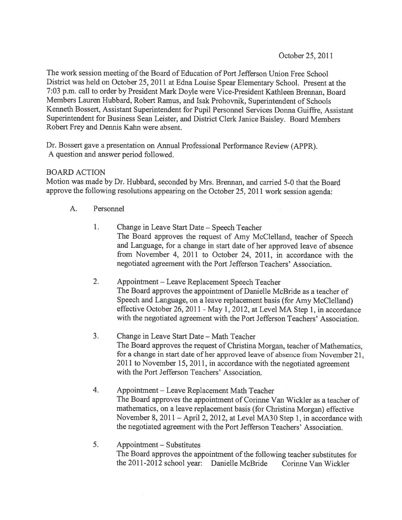The work session meeting of the Board of Education of Port Jefferson Union Free School District was held on October 25, <sup>2011</sup> at Edna Louise Spear Elementary School. Present at the 7:03 p.m. call to order by President Mark Doyle were Vice-President Kathleen Brennan, Board Members Lauren Hubbard, Robert Ramus, and Isak Prohovnik, Superintendent of Schools Kenneth Bossert, Assistant Superintendent for Pupil Personnel Services Donna Guiffre, Assistant Superintendent for Business Sean Leister, and District Clerk Janice Baisley. Board Members Robert Frey and Dennis Kahn were absent.

Dr. Bossert gave <sup>a</sup> presentation on Annual Professional Performance Review (APPR). A question and answer period followed.

#### BOARD ACTION

Motion was made by Dr. Hubbard, seconded by Mrs. Brennan, and carried 5-0 that the Board approve the following resolutions appearing on the October 25, <sup>2011</sup> work session agenda:

- A. Personnel
	- 1. Change in Leave Start Date Speech Teacher The Board approves the request of Amy McClelland, teacher of Speech and Language, for <sup>a</sup> change in start date of her approved leave of absence from November 4, 2011 to October 24, 2011, in accordance with the negotiated agreement with the Port Jefferson Teachers' Association.
	- 2. Appointment Leave Replacement Speech Teacher The Board approves the appointment of Danielle McBride as <sup>a</sup> teacher of Speech and Language, on <sup>a</sup> leave replacement basis (for Amy McClelland) effective October 26, 2011 - May 1, 2012, at Level MA Step 1, in accordance with the negotiated agreement with the Port Jefferson Teachers' Association.
	- 3. Change in Leave Start Date Math Teacher The Board approves the request of Christina Morgan, teacher of Mathematics, for <sup>a</sup> change in start date of her approved leave of absence from November 21, <sup>2011</sup> to November 15, 2011, in accordance with the negotiated agreement with the Port Jefferson Teachers' Association.
	- 4. Appointment Leave Replacement Math Teacher The Board approves the appointment of Corinne Van Wickler as <sup>a</sup> teacher of mathematics, on <sup>a</sup> leave replacement basis (for Christina Morgan) effective November 8, <sup>2011</sup> — April 2, 2012, at Level MA3O Step 1, in accordance with the negotiated agreement with the Port Jefferson Teachers' Association.
	- 5. Appointment Substitutes The Board approves the appointment of the following teacher substitutes for the 2011-2012 school year: Danielle McBride Corinne Van Wickler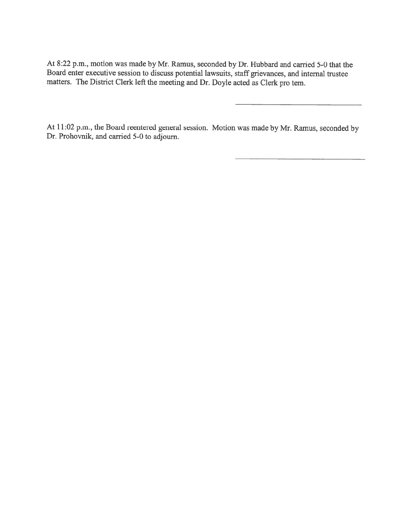At 8:22 p.m., motion was made by Mr. Ramus, seconded by Dr. Hubbard and carried 5-0 that the Board enter executive session to discuss potential lawsuits, staff grievances, and internal trustee matters. The District Clerk left the meeting and Dr. Doyle acted as Clerk pro tem.

At 11:02 p.m., the Board reentered general session. Motion was made by Mr. Ramus, seconded by Dr. Prohovnik, and carried 5-0 to adjourn.